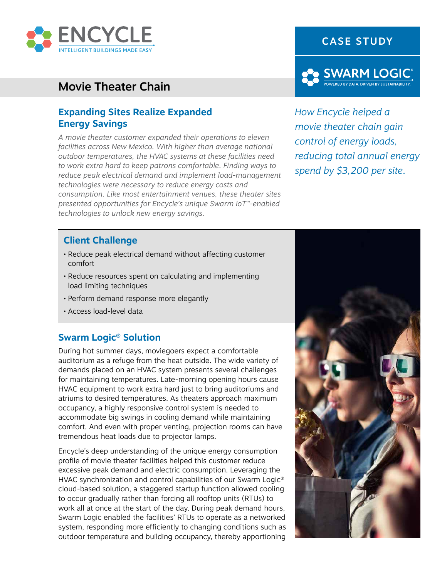

# Movie Theater Chain

### **Expanding Sites Realize Expanded Energy Savings**

*A movie theater customer expanded their operations to eleven facilities across New Mexico. With higher than average national outdoor temperatures, the HVAC systems at these facilities need to work extra hard to keep patrons comfortable. Finding ways to reduce peak electrical demand and implement load-management technologies were necessary to reduce energy costs and consumption. Like most entertainment venues, these theater sites presented opportunities for Encycle's unique Swarm IoT™-enabled technologies to unlock new energy savings.*





*How Encycle helped a movie theater chain gain control of energy loads, reducing total annual energy spend by \$3,200 per site.*

#### **Client Challenge**

- Reduce peak electrical demand without affecting customer comfort
- Reduce resources spent on calculating and implementing load limiting techniques
- Perform demand response more elegantly
- Access load-level data

#### **Swarm Logic® Solution**

During hot summer days, moviegoers expect a comfortable auditorium as a refuge from the heat outside. The wide variety of demands placed on an HVAC system presents several challenges for maintaining temperatures. Late-morning opening hours cause HVAC equipment to work extra hard just to bring auditoriums and atriums to desired temperatures. As theaters approach maximum occupancy, a highly responsive control system is needed to accommodate big swings in cooling demand while maintaining comfort. And even with proper venting, projection rooms can have tremendous heat loads due to projector lamps.

Encycle's deep understanding of the unique energy consumption profile of movie theater facilities helped this customer reduce excessive peak demand and electric consumption. Leveraging the HVAC synchronization and control capabilities of our Swarm Logic® cloud-based solution, a staggered startup function allowed cooling to occur gradually rather than forcing all rooftop units (RTUs) to work all at once at the start of the day. During peak demand hours, Swarm Logic enabled the facilities' RTUs to operate as a networked system, responding more efficiently to changing conditions such as outdoor temperature and building occupancy, thereby apportioning